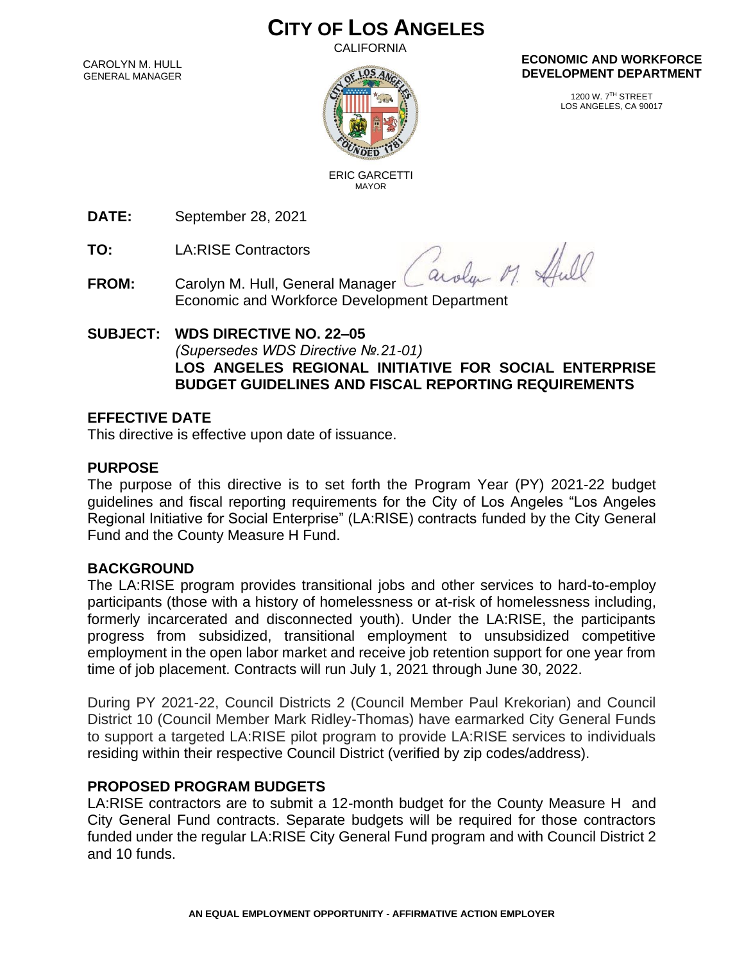# **CITY OF LOS ANGELES**

CALIFORNIA

CAROLYN M. HULL GENERAL MANAGER



#### **ECONOMIC AND WORKFORCE DEVELOPMENT DEPARTMENT**

1200 W. 7TH STREET LOS ANGELES, CA 90017

 ERIC GARCETTI MAYOR

**DATE:** September 28, 2021

**TO:** LA:RISE Contractors

aroly M. Hull

**FROM:** Carolyn M. Hull, General Manager Economic and Workforce Development Department

#### **SUBJECT: WDS DIRECTIVE NO. 22–05** *(Supersedes WDS Directive №.21-01)* **LOS ANGELES REGIONAL INITIATIVE FOR SOCIAL ENTERPRISE BUDGET GUIDELINES AND FISCAL REPORTING REQUIREMENTS**

## **EFFECTIVE DATE**

This directive is effective upon date of issuance.

### **PURPOSE**

The purpose of this directive is to set forth the Program Year (PY) 2021-22 budget guidelines and fiscal reporting requirements for the City of Los Angeles "Los Angeles Regional Initiative for Social Enterprise" (LA:RISE) contracts funded by the City General Fund and the County Measure H Fund.

#### **BACKGROUND**

The LA:RISE program provides transitional jobs and other services to hard-to-employ participants (those with a history of homelessness or at-risk of homelessness including, formerly incarcerated and disconnected youth). Under the LA:RISE, the participants progress from subsidized, transitional employment to unsubsidized competitive employment in the open labor market and receive job retention support for one year from time of job placement. Contracts will run July 1, 2021 through June 30, 2022.

During PY 2021-22, Council Districts 2 (Council Member Paul Krekorian) and Council District 10 (Council Member Mark Ridley-Thomas) have earmarked City General Funds to support a targeted LA:RISE pilot program to provide LA:RISE services to individuals residing within their respective Council District (verified by zip codes/address).

## **PROPOSED PROGRAM BUDGETS**

LA:RISE contractors are to submit a 12-month budget for the County Measure H and City General Fund contracts. Separate budgets will be required for those contractors funded under the regular LA:RISE City General Fund program and with Council District 2 and 10 funds.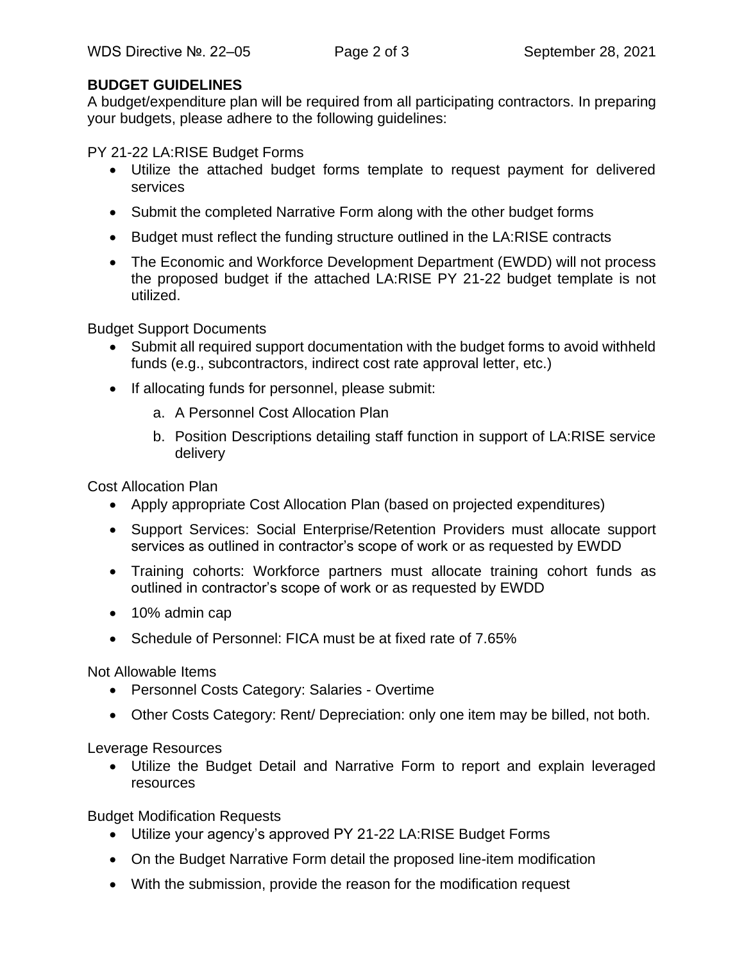## **BUDGET GUIDELINES**

A budget/expenditure plan will be required from all participating contractors. In preparing your budgets, please adhere to the following guidelines:

PY 21-22 LA:RISE Budget Forms

- Utilize the attached budget forms template to request payment for delivered services
- Submit the completed Narrative Form along with the other budget forms
- Budget must reflect the funding structure outlined in the LA:RISE contracts
- The Economic and Workforce Development Department (EWDD) will not process the proposed budget if the attached LA:RISE PY 21-22 budget template is not utilized.

Budget Support Documents

- Submit all required support documentation with the budget forms to avoid withheld funds (e.g., subcontractors, indirect cost rate approval letter, etc.)
- If allocating funds for personnel, please submit:
	- a. A Personnel Cost Allocation Plan
	- b. Position Descriptions detailing staff function in support of LA:RISE service delivery

Cost Allocation Plan

- Apply appropriate Cost Allocation Plan (based on projected expenditures)
- Support Services: Social Enterprise/Retention Providers must allocate support services as outlined in contractor's scope of work or as requested by EWDD
- Training cohorts: Workforce partners must allocate training cohort funds as outlined in contractor's scope of work or as requested by EWDD
- 10% admin cap
- Schedule of Personnel: FICA must be at fixed rate of 7.65%

Not Allowable Items

- Personnel Costs Category: Salaries Overtime
- Other Costs Category: Rent/ Depreciation: only one item may be billed, not both.

Leverage Resources

• Utilize the Budget Detail and Narrative Form to report and explain leveraged resources

Budget Modification Requests

- Utilize your agency's approved PY 21-22 LA:RISE Budget Forms
- On the Budget Narrative Form detail the proposed line-item modification
- With the submission, provide the reason for the modification request